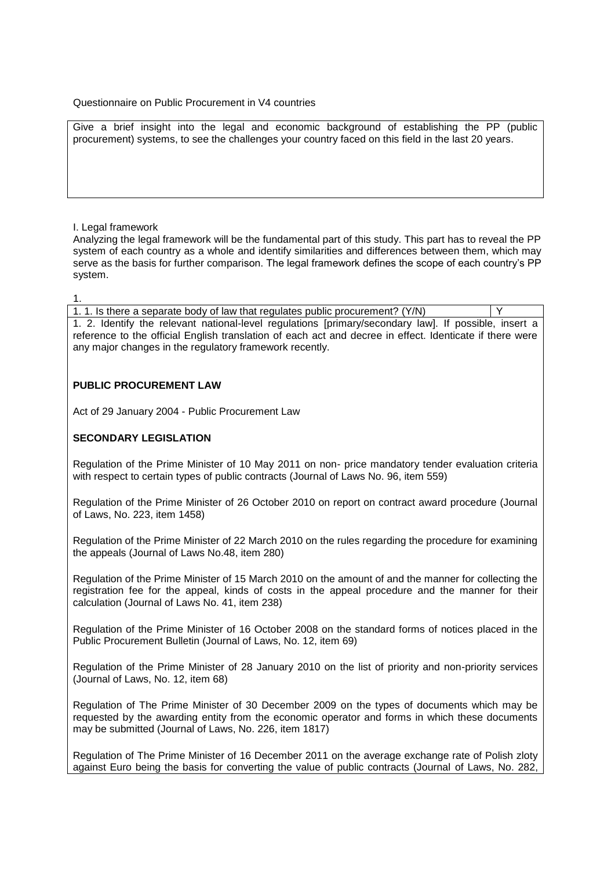### Questionnaire on Public Procurement in V4 countries

Give a brief insight into the legal and economic background of establishing the PP (public procurement) systems, to see the challenges your country faced on this field in the last 20 years.

### I. Legal framework

Analyzing the legal framework will be the fundamental part of this study. This part has to reveal the PP system of each country as a whole and identify similarities and differences between them, which may serve as the basis for further comparison. The legal framework defines the scope of each country's PP system.

1.

1. 1. Is there a separate body of law that regulates public procurement? (Y/N) Y 1. 2. Identify the relevant national-level regulations [primary/secondary law]. If possible, insert a reference to the official English translation of each act and decree in effect. Identicate if there were any major changes in the regulatory framework recently.

# **PUBLIC PROCUREMENT LAW**

[Act of 29 January 2004 -](http://www.uzp.gov.pl/cmsws/page/GetFile1.aspx?attid=4078) Public Procurement Law

# **SECONDARY LEGISLATION**

[Regulation of the Prime Minister of 10 May 2011 on non-](http://www.uzp.gov.pl/cmsws/page/GetFile1.aspx?attid=4181) price mandatory tender evaluation criteria [with respect to certain types of public contracts \(Journal of Laws No. 96, item 559\)](http://www.uzp.gov.pl/cmsws/page/GetFile1.aspx?attid=4181)

[Regulation of the Prime Minister of 26 October 2010 on report on contract award procedure \(Journal](http://www.uzp.gov.pl/cmsws/page/GetFile1.aspx?attid=3638)  [of Laws, No. 223, item 1458\)](http://www.uzp.gov.pl/cmsws/page/GetFile1.aspx?attid=3638)

[Regulation of the Prime Minister of 22 March 2010 on the rules regarding the procedure for examining](http://www.uzp.gov.pl/cmsws/page/GetFile1.aspx?attid=2585)  [the appeals \(Journal of Laws No.48, item 280\)](http://www.uzp.gov.pl/cmsws/page/GetFile1.aspx?attid=2585)

[Regulation of the Prime Minister of 15 March 2010 on the amount of and the manner for collecting the](http://www.uzp.gov.pl/cmsws/page/GetFile1.aspx?attid=2584)  [registration fee for the appeal, kinds of costs in the appeal procedure and the manner for their](http://www.uzp.gov.pl/cmsws/page/GetFile1.aspx?attid=2584)  [calculation \(Journal of Laws No. 41, item 238\)](http://www.uzp.gov.pl/cmsws/page/GetFile1.aspx?attid=2584)

[Regulation of the Prime Minister of 16 October 2008 on the standard forms of notices placed in the](http://www.uzp.gov.pl/cmsws/page/GetFile1.aspx?attid=1450)  [Public Procurement Bulletin \(Journal of Laws, No. 12, item 69\)](http://www.uzp.gov.pl/cmsws/page/GetFile1.aspx?attid=1450)

[Regulation of the Prime Minister of 28 January 2010 on the list of priority and non-priority services](http://www.uzp.gov.pl/cmsws/page/GetFile1.aspx?attid=1460)  [\(Journal of Laws, No. 12, item 68\)](http://www.uzp.gov.pl/cmsws/page/GetFile1.aspx?attid=1460)

[Regulation of The Prime Minister of 30 December 2009 on the types of documents which may be](http://www.uzp.gov.pl/cmsws/page/GetFile1.aspx?attid=3759)  [requested by the awarding entity from the economic operator and forms in which these documents](http://www.uzp.gov.pl/cmsws/page/GetFile1.aspx?attid=3759)  [may be submitted \(Journal of Laws, No. 226, item 1817\)](http://www.uzp.gov.pl/cmsws/page/GetFile1.aspx?attid=3759)

[Regulation of The Prime Minister of 16 December 2011](http://www.uzp.gov.pl/cmsws/page/GetFile1.aspx?attid=1454) on the average exchange rate of Polish zloty [against Euro being the basis for converting the value of public contracts \(Journal of Laws, No. 282,](http://www.uzp.gov.pl/cmsws/page/GetFile1.aspx?attid=1454)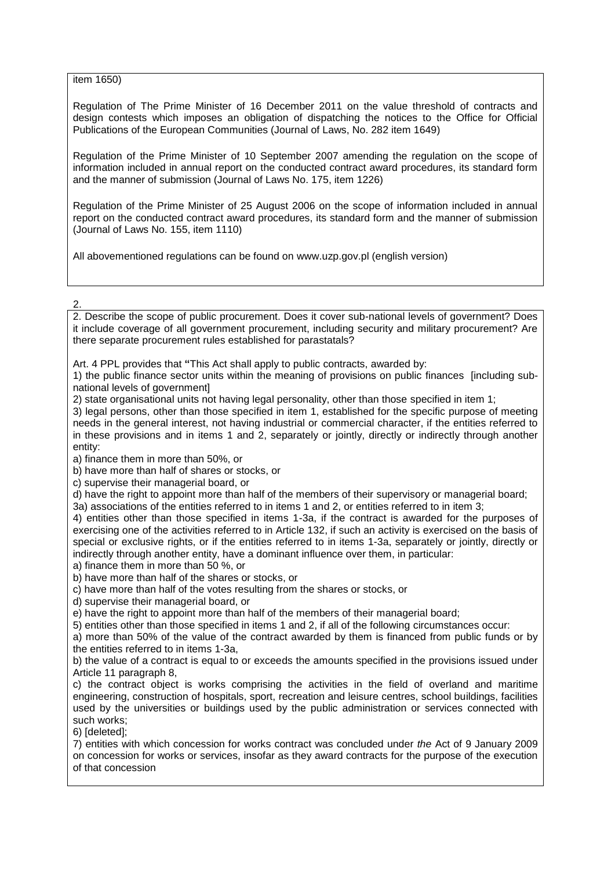[item 1650\)](http://www.uzp.gov.pl/cmsws/page/GetFile1.aspx?attid=1454)

[Regulation of The Prime Minister of 16 December 2011](http://www.uzp.gov.pl/cmsws/page/GetFile1.aspx?attid=1444) on the value threshold of contracts and [design contests which imposes an obligation of dispatching the notices to the Office for Official](http://www.uzp.gov.pl/cmsws/page/GetFile1.aspx?attid=1444)  [Publications of the European Communities \(Journal of Laws, No. 282 item 1649\)](http://www.uzp.gov.pl/cmsws/page/GetFile1.aspx?attid=1444)

[Regulation of the Prime Minister of 10 September 2007 amending the regulation on the scope of](http://www.uzp.gov.pl/cms/%20/cmsws/page/GetFile1.aspx?attid=1437) [information included in annual report on the conducted contract award procedures, its standard form](http://www.uzp.gov.pl/cms/%20/cmsws/page/GetFile1.aspx?attid=1437)  [and the manner of submission \(Journal of Laws No. 175, item 1226\)](http://www.uzp.gov.pl/cms/%20/cmsws/page/GetFile1.aspx?attid=1437)

[Regulation of the Prime Minister of 25 August 2006 on the scope of information included in annual](http://www.uzp.gov.pl/cmsws/page/GetFile1.aspx?attid=1451)  [report on the conducted contract award procedures, its standard form and the manner of submission](http://www.uzp.gov.pl/cmsws/page/GetFile1.aspx?attid=1451)  [\(Journal of Laws No. 155, item 1110\)](http://www.uzp.gov.pl/cmsws/page/GetFile1.aspx?attid=1451)

All abovementioned regulations can be found on [www.uzp.gov.pl](http://www.uzp.gov.pl/) (english version)

# 2.

2. Describe the scope of public procurement. Does it cover sub-national levels of government? Does it include coverage of all government procurement, including security and military procurement? Are there separate procurement rules established for parastatals?

Art. 4 PPL provides that **"**This Act shall apply to public contracts, awarded by:

1) the public finance sector units within the meaning of provisions on public finances [including subnational levels of government]

2) state organisational units not having legal personality, other than those specified in item 1;

3) legal persons, other than those specified in item 1, established for the specific purpose of meeting needs in the general interest, not having industrial or commercial character, if the entities referred to in these provisions and in items 1 and 2, separately or jointly, directly or indirectly through another entity:

a) finance them in more than 50%, or

b) have more than half of shares or stocks, or

c) supervise their managerial board, or

d) have the right to appoint more than half of the members of their supervisory or managerial board;

3a) associations of the entities referred to in items 1 and 2, or entities referred to in item 3;

4) entities other than those specified in items 1-3a, if the contract is awarded for the purposes of exercising one of the activities referred to in Article 132, if such an activity is exercised on the basis of special or exclusive rights, or if the entities referred to in items 1-3a, separately or jointly, directly or indirectly through another entity, have a dominant influence over them, in particular:

a) finance them in more than 50 %, or

b) have more than half of the shares or stocks, or

c) have more than half of the votes resulting from the shares or stocks, or

d) supervise their managerial board, or

e) have the right to appoint more than half of the members of their managerial board;

5) entities other than those specified in items 1 and 2, if all of the following circumstances occur:

a) more than 50% of the value of the contract awarded by them is financed from public funds or by the entities referred to in items 1-3a,

b) the value of a contract is equal to or exceeds the amounts specified in the provisions issued under Article 11 paragraph 8,

c) the contract object is works comprising the activities in the field of overland and maritime engineering, construction of hospitals, sport, recreation and leisure centres, school buildings, facilities used by the universities or buildings used by the public administration or services connected with such works;

6) [deleted];

7) entities with which concession for works contract was concluded under *the* Act of 9 January 2009 on concession for works or services, insofar as they award contracts for the purpose of the execution of that concession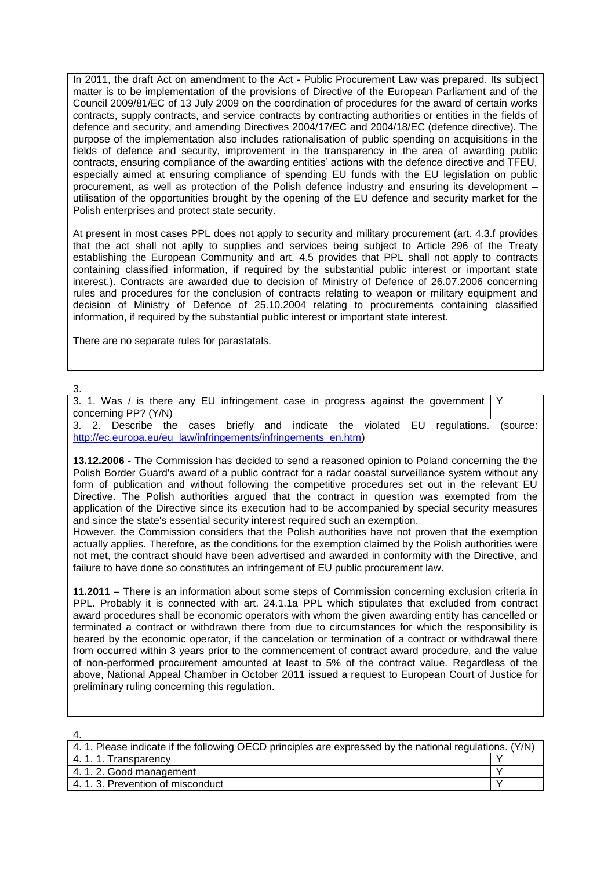In 2011, the draft Act on amendment to the Act - Public Procurement Law was prepared. Its subject matter is to be implementation of the provisions of Directive of the European Parliament and of the Council 2009/81/EC of 13 July 2009 on the coordination of procedures for the award of certain works contracts, supply contracts, and service contracts by contracting authorities or entities in the fields of defence and security, and amending Directives 2004/17/EC and 2004/18/EC (defence directive). The purpose of the implementation also includes rationalisation of public spending on acquisitions in the fields of defence and security, improvement in the transparency in the area of awarding public contracts, ensuring compliance of the awarding entities' actions with the defence directive and TFEU, especially aimed at ensuring compliance of spending EU funds with the EU legislation on public procurement, as well as protection of the Polish defence industry and ensuring its development – utilisation of the opportunities brought by the opening of the EU defence and security market for the Polish enterprises and protect state security.

At present in most cases PPL does not apply to security and military procurement (art. 4.3.f provides that the act shall not aplly to supplies and services being subject to Article 296 of the Treaty establishing the European Community and art. 4.5 provides that PPL shall not apply to contracts containing classified information, if required by the substantial public interest or important state interest.). Contracts are awarded due to decision of Ministry of Defence of 26.07.2006 concerning rules and procedures for the conclusion of contracts relating to weapon or military equipment and decision of Ministry of Defence of 25.10.2004 relating to procurements containing classified information, if required by the substantial public interest or important state interest.

There are no separate rules for parastatals.

# 3.

3. 1. Was / is there any EU infringement case in progress against the government concerning PP? (Y/N) Y

3. 2. Describe the cases briefly and indicate the violated EU regulations. (source: [http://ec.europa.eu/eu\\_law/infringements/infringements\\_en.htm\)](../../../../Documents%20and%20Settings/dt/My%20Documents/Dokumentumok/Downloads/Describe%20the%20cases%20briefly%20and%20indicate%20the%20violated%20EU%20regulations.%20(source:%20http:/ec.europa.eu/eu_law/infringements/infringements_en.htm))

**13.12.2006 -** The Commission has decided to send a reasoned opinion to Poland concerning the the Polish Border Guard's award of a public contract for a radar coastal surveillance system without any form of publication and without following the competitive procedures set out in the relevant EU Directive. The Polish authorities argued that the contract in question was exempted from the application of the Directive since its execution had to be accompanied by special security measures and since the state's essential security interest required such an exemption.

However, the Commission considers that the Polish authorities have not proven that the exemption actually applies. Therefore, as the conditions for the exemption claimed by the Polish authorities were not met, the contract should have been advertised and awarded in conformity with the Directive, and failure to have done so constitutes an infringement of EU public procurement law.

**11.2011** – There is an information about some steps of Commission concerning exclusion criteria in PPL. Probably it is connected with art. 24.1.1a PPL which stipulates that excluded from contract award procedures shall be economic operators with whom the given awarding entity has cancelled or terminated a contract or withdrawn there from due to circumstances for which the responsibility is beared by the economic operator, if the cancelation or termination of a contract or withdrawal there from occurred within 3 years prior to the commencement of contract award procedure, and the value of non-performed procurement amounted at least to 5% of the contract value. Regardless of the above, National Appeal Chamber in October 2011 issued a request to European Court of Justice for preliminary ruling concerning this regulation.

| 4. 1. Please indicate if the following OECD principles are expressed by the national regulations. (Y/N) |  |
|---------------------------------------------------------------------------------------------------------|--|
| 4.1.1. Transparency                                                                                     |  |
| 4.1.2. Good management                                                                                  |  |
| 4.1.3. Prevention of misconduct                                                                         |  |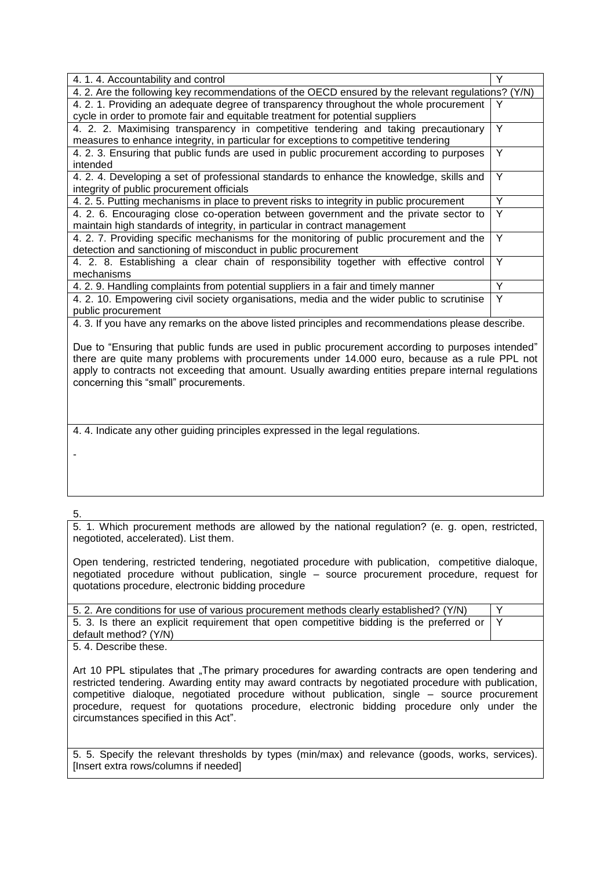| 4.1.4. Accountability and control                                                                  |   |  |
|----------------------------------------------------------------------------------------------------|---|--|
| 4. 2. Are the following key recommendations of the OECD ensured by the relevant regulations? (Y/N) |   |  |
| 4.2.1. Providing an adequate degree of transparency throughout the whole procurement               | Y |  |
| cycle in order to promote fair and equitable treatment for potential suppliers                     |   |  |
| 4. 2. 2. Maximising transparency in competitive tendering and taking precautionary                 | Υ |  |
| measures to enhance integrity, in particular for exceptions to competitive tendering               |   |  |
| 4. 2. 3. Ensuring that public funds are used in public procurement according to purposes           | Y |  |
| intended                                                                                           |   |  |
| 4. 2. 4. Developing a set of professional standards to enhance the knowledge, skills and           | Υ |  |
| integrity of public procurement officials                                                          |   |  |
| 4. 2. 5. Putting mechanisms in place to prevent risks to integrity in public procurement           | Υ |  |
| 4. 2. 6. Encouraging close co-operation between government and the private sector to               | Υ |  |
| maintain high standards of integrity, in particular in contract management                         |   |  |
| 4. 2. 7. Providing specific mechanisms for the monitoring of public procurement and the            | Y |  |
| detection and sanctioning of misconduct in public procurement                                      |   |  |
| 4. 2. 8. Establishing a clear chain of responsibility together with effective control              | Υ |  |
| mechanisms                                                                                         |   |  |
| 4. 2. 9. Handling complaints from potential suppliers in a fair and timely manner                  | Υ |  |
| 4. 2. 10. Empowering civil society organisations, media and the wider public to scrutinise         | Y |  |
| public procurement                                                                                 |   |  |
| 1.3. If you have any remarke an the above listed principles and recommendations places describe    |   |  |

4. 3. If you have any remarks on the above listed principles and recommendations please describe.

Due to "Ensuring that public funds are used in public procurement according to purposes intended" there are quite many problems with procurements under 14.000 euro, because as a rule PPL not apply to contracts not exceeding that amount. Usually awarding entities prepare internal regulations concerning this "small" procurements.

4. 4. Indicate any other guiding principles expressed in the legal regulations.

-

5.

5. 1. Which procurement methods are allowed by the national regulation? (e. g. open, restricted, negotioted, accelerated). List them.

Open tendering, restricted tendering, negotiated procedure with publication, competitive dialoque, negotiated procedure without publication, single – source procurement procedure, request for quotations procedure, electronic bidding procedure

| 5. 2. Are conditions for use of various procurement methods clearly established? (Y/N)            |  |
|---------------------------------------------------------------------------------------------------|--|
| 5.3. Is there an explicit requirement that open competitive bidding is the preferred or $\vert$ Y |  |
| default method? (Y/N)                                                                             |  |
| ______                                                                                            |  |

5. 4. Describe these.

Art 10 PPL stipulates that "The primary procedures for awarding contracts are open tendering and restricted tendering. Awarding entity may award contracts by negotiated procedure with publication, competitive dialoque, negotiated procedure without publication, single – source procurement procedure, request for quotations procedure, electronic bidding procedure only under the circumstances specified in this Act".

5. 5. Specify the relevant thresholds by types (min/max) and relevance (goods, works, services). [Insert extra rows/columns if needed]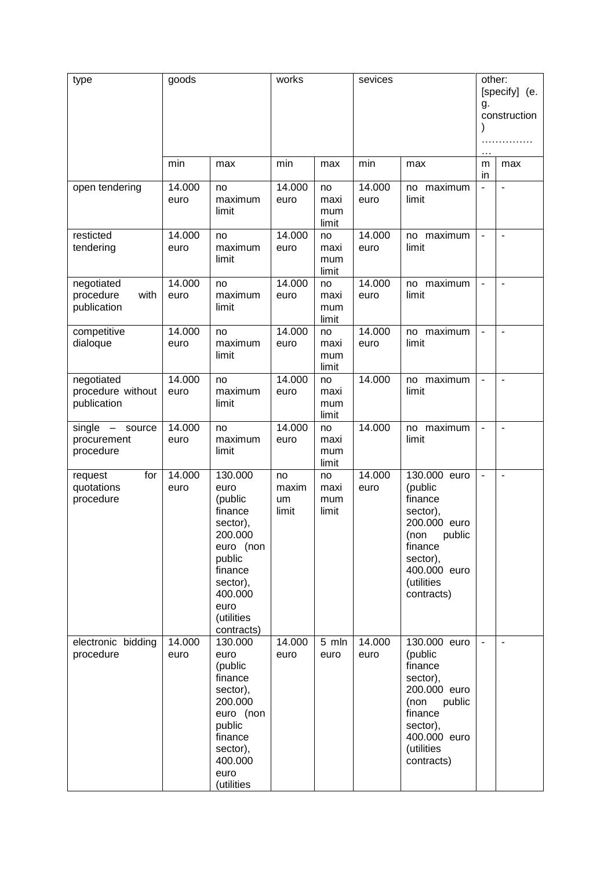| type                                           | goods          |                                                                                                                                                           | works                      |                            | sevices        |                                                                                                                                                     | other:<br>g.<br>$\cdots$ | [specify] (e.<br>construction |
|------------------------------------------------|----------------|-----------------------------------------------------------------------------------------------------------------------------------------------------------|----------------------------|----------------------------|----------------|-----------------------------------------------------------------------------------------------------------------------------------------------------|--------------------------|-------------------------------|
|                                                | min            | max                                                                                                                                                       | min                        | max                        | min            | max                                                                                                                                                 | m<br>in                  | max                           |
| open tendering                                 | 14.000<br>euro | no<br>maximum<br>limit                                                                                                                                    | 14.000<br>euro             | no<br>maxi<br>mum<br>limit | 14.000<br>euro | no maximum<br>limit                                                                                                                                 | $\blacksquare$           | ÷                             |
| resticted<br>tendering                         | 14.000<br>euro | no<br>maximum<br>limit                                                                                                                                    | 14.000<br>euro             | no<br>maxi<br>mum<br>limit | 14.000<br>euro | no maximum<br>limit                                                                                                                                 | $\overline{\phantom{a}}$ | $\overline{a}$                |
| negotiated<br>procedure<br>with<br>publication | 14.000<br>euro | no<br>maximum<br>limit                                                                                                                                    | 14.000<br>euro             | no<br>maxi<br>mum<br>limit | 14.000<br>euro | no maximum<br>limit                                                                                                                                 | $\blacksquare$           | ÷,                            |
| competitive<br>dialoque                        | 14.000<br>euro | no<br>maximum<br>limit                                                                                                                                    | 14.000<br>euro             | no<br>maxi<br>mum<br>limit | 14.000<br>euro | no maximum<br>limit                                                                                                                                 | $\blacksquare$           | ÷,                            |
| negotiated<br>procedure without<br>publication | 14.000<br>euro | no<br>maximum<br>limit                                                                                                                                    | 14.000<br>euro             | no<br>maxi<br>mum<br>limit | 14.000         | no maximum<br>limit                                                                                                                                 | $\overline{\phantom{a}}$ | $\overline{a}$                |
| single - source<br>procurement<br>procedure    | 14.000<br>euro | no<br>maximum<br>limit                                                                                                                                    | 14.000<br>euro             | no<br>maxi<br>mum<br>limit | 14.000         | no maximum<br>limit                                                                                                                                 | $\overline{\phantom{a}}$ | $\overline{a}$                |
| for<br>request<br>quotations<br>procedure      | 14.000<br>euro | 130.000<br>euro<br>(public<br>finance<br>sector),<br>200.000<br>euro (non<br>public<br>finance<br>sector),<br>400.000<br>euro<br>(utilities<br>contracts) | no<br>maxim<br>um<br>limit | no<br>maxi<br>mum<br>limit | 14.000<br>euro | 130.000 euro<br>(public<br>finance<br>sector),<br>200.000 euro<br>(non public<br>finance<br>sector),<br>400.000 euro<br>(utilities<br>contracts)    | $\blacksquare$           | ٠                             |
| electronic bidding<br>procedure                | 14.000<br>euro | 130.000<br>euro<br>(public<br>finance<br>sector),<br>200.000<br>euro (non<br>public<br>finance<br>sector),<br>400.000<br>euro<br>(utilities               | 14.000<br>euro             | 5 mln<br>euro              | 14.000<br>euro | 130.000 euro<br>(public<br>finance<br>sector),<br>200.000 euro<br>(non<br>public<br>finance<br>sector),<br>400.000 euro<br>(utilities<br>contracts) |                          | ÷,                            |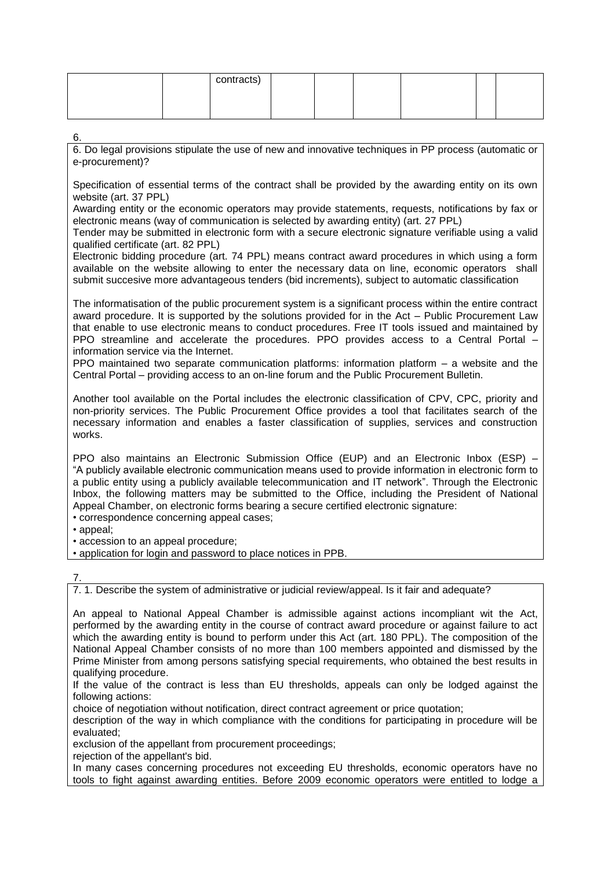| contracts) |  |  |  |
|------------|--|--|--|
|            |  |  |  |
|            |  |  |  |

6.

6. Do legal provisions stipulate the use of new and innovative techniques in PP process (automatic or e-procurement)?

Specification of essential terms of the contract shall be provided by the awarding entity on its own website (art. 37 PPL)

Awarding entity or the economic operators may provide statements, requests, notifications by fax or electronic means (way of communication is selected by awarding entity) (art. 27 PPL)

Tender may be submitted in electronic form with a secure electronic signature verifiable using a valid qualified certificate (art. 82 PPL)

Electronic bidding procedure (art. 74 PPL) means contract award procedures in which using a form available on the website allowing to enter the necessary data on line, economic operators shall submit succesive more advantageous tenders (bid increments), subject to automatic classification

The informatisation of the public procurement system is a significant process within the entire contract award procedure. It is supported by the solutions provided for in the Act – Public Procurement Law that enable to use electronic means to conduct procedures. Free IT tools issued and maintained by PPO streamline and accelerate the procedures. PPO provides access to a Central Portal – information service via the Internet.

PPO maintained two separate communication platforms: information platform – a website and the Central Portal – providing access to an on-line forum and the Public Procurement Bulletin.

Another tool available on the Portal includes the electronic classification of CPV, CPC, priority and non-priority services. The Public Procurement Office provides a tool that facilitates search of the necessary information and enables a faster classification of supplies, services and construction works.

PPO also maintains an Electronic Submission Office (EUP) and an Electronic Inbox (ESP) – "A publicly available electronic communication means used to provide information in electronic form to a public entity using a publicly available telecommunication and IT network". Through the Electronic Inbox, the following matters may be submitted to the Office, including the President of National Appeal Chamber, on electronic forms bearing a secure certified electronic signature:

• correspondence concerning appeal cases;

• appeal;

• accession to an appeal procedure;

• application for login and password to place notices in PPB.

7.

7. 1. Describe the system of administrative or judicial review/appeal. Is it fair and adequate?

An appeal to National Appeal Chamber is admissible against actions incompliant wit the Act, performed by the awarding entity in the course of contract award procedure or against failure to act which the awarding entity is bound to perform under this Act (art. 180 PPL). The composition of the National Appeal Chamber consists of no more than 100 members appointed and dismissed by the Prime Minister from among persons satisfying special requirements, who obtained the best results in qualifying procedure.

If the value of the contract is less than EU thresholds, appeals can only be lodged against the following actions:

choice of negotiation without notification, direct contract agreement or price quotation;

description of the way in which compliance with the conditions for participating in procedure will be evaluated;

exclusion of the appellant from procurement proceedings;

rejection of the appellant's bid.

In many cases concerning procedures not exceeding EU thresholds, economic operators have no tools to fight against awarding entities. Before 2009 economic operators were entitled to lodge a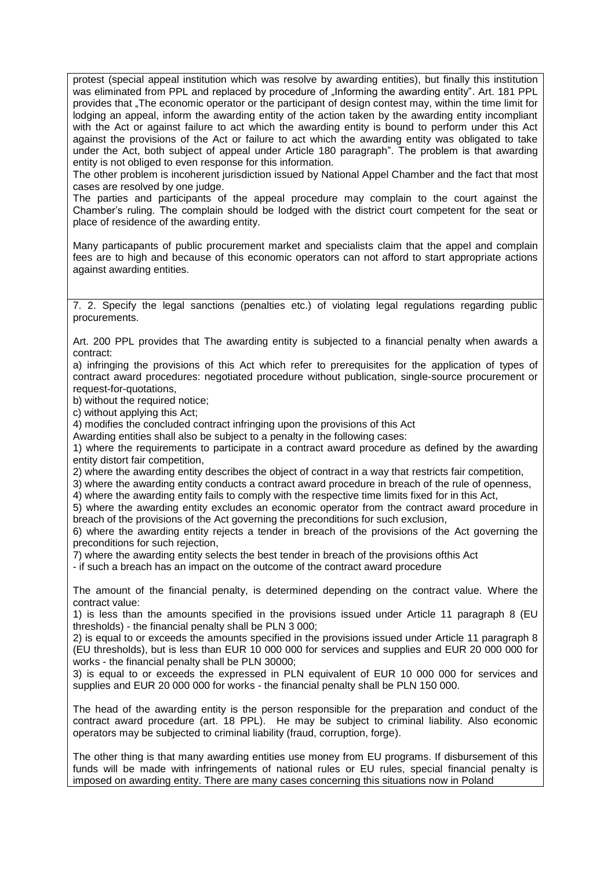protest (special appeal institution which was resolve by awarding entities), but finally this institution was eliminated from PPL and replaced by procedure of "Informing the awarding entity". Art. 181 PPL provides that "The economic operator or the participant of design contest may, within the time limit for lodging an appeal, inform the awarding entity of the action taken by the awarding entity incompliant with the Act or against failure to act which the awarding entity is bound to perform under this Act against the provisions of the Act or failure to act which the awarding entity was obligated to take under the Act, both subject of appeal under Article 180 paragraph". The problem is that awarding entity is not obliged to even response for this information.

The other problem is incoherent jurisdiction issued by National Appel Chamber and the fact that most cases are resolved by one judge.

The parties and participants of the appeal procedure may complain to the court against the Chamber's ruling. The complain should be lodged with the district court competent for the seat or place of residence of the awarding entity.

Many particapants of public procurement market and specialists claim that the appel and complain fees are to high and because of this economic operators can not afford to start appropriate actions against awarding entities.

7. 2. Specify the legal sanctions (penalties etc.) of violating legal regulations regarding public procurements.

Art. 200 PPL provides that The awarding entity is subjected to a financial penalty when awards a contract:

a) infringing the provisions of this Act which refer to prerequisites for the application of types of contract award procedures: negotiated procedure without publication, single-source procurement or request-for-quotations,

b) without the required notice:

c) without applying this Act;

4) modifies the concluded contract infringing upon the provisions of this Act

Awarding entities shall also be subject to a penalty in the following cases:

1) where the requirements to participate in a contract award procedure as defined by the awarding entity distort fair competition,

2) where the awarding entity describes the object of contract in a way that restricts fair competition,

3) where the awarding entity conducts a contract award procedure in breach of the rule of openness,

4) where the awarding entity fails to comply with the respective time limits fixed for in this Act,

5) where the awarding entity excludes an economic operator from the contract award procedure in breach of the provisions of the Act governing the preconditions for such exclusion,

6) where the awarding entity rejects a tender in breach of the provisions of the Act governing the preconditions for such rejection,

7) where the awarding entity selects the best tender in breach of the provisions ofthis Act

- if such a breach has an impact on the outcome of the contract award procedure

The amount of the financial penalty, is determined depending on the contract value. Where the contract value:

1) is less than the amounts specified in the provisions issued under Article 11 paragraph 8 (EU thresholds) - the financial penalty shall be PLN 3 000;

2) is equal to or exceeds the amounts specified in the provisions issued under Article 11 paragraph 8 (EU thresholds), but is less than EUR 10 000 000 for services and supplies and EUR 20 000 000 for works - the financial penalty shall be PLN 30000;

3) is equal to or exceeds the expressed in PLN equivalent of EUR 10 000 000 for services and supplies and EUR 20 000 000 for works - the financial penalty shall be PLN 150 000.

The head of the awarding entity is the person responsible for the preparation and conduct of the contract award procedure (art. 18 PPL). He may be subject to criminal liability. Also economic operators may be subjected to criminal liability (fraud, corruption, forge).

The other thing is that many awarding entities use money from EU programs. If disbursement of this funds will be made with infringements of national rules or EU rules, special financial penalty is imposed on awarding entity. There are many cases concerning this situations now in Poland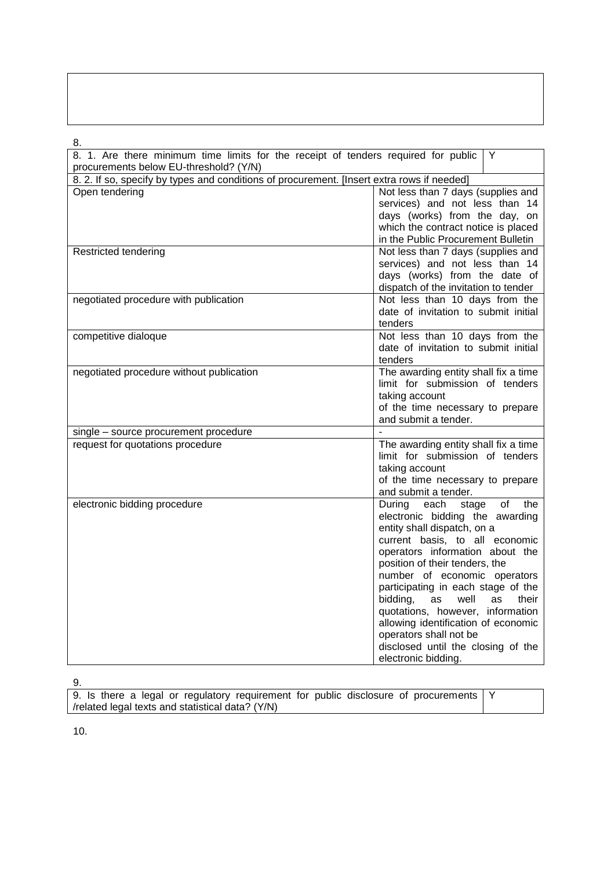| ٠<br>۰,<br>I<br>۰, |  |
|--------------------|--|

| ο.<br>8. 1. Are there minimum time limits for the receipt of tenders required for public   | Y                                                                                                                                                                                                                                                                                                                                                                                                                                                                                                      |
|--------------------------------------------------------------------------------------------|--------------------------------------------------------------------------------------------------------------------------------------------------------------------------------------------------------------------------------------------------------------------------------------------------------------------------------------------------------------------------------------------------------------------------------------------------------------------------------------------------------|
| procurements below EU-threshold? (Y/N)                                                     |                                                                                                                                                                                                                                                                                                                                                                                                                                                                                                        |
| 8. 2. If so, specify by types and conditions of procurement. [Insert extra rows if needed] |                                                                                                                                                                                                                                                                                                                                                                                                                                                                                                        |
| Open tendering                                                                             | Not less than 7 days (supplies and<br>services) and not less than 14<br>days (works) from the day, on<br>which the contract notice is placed<br>in the Public Procurement Bulletin                                                                                                                                                                                                                                                                                                                     |
| Restricted tendering                                                                       | Not less than 7 days (supplies and<br>services) and not less than 14<br>days (works) from the date of<br>dispatch of the invitation to tender                                                                                                                                                                                                                                                                                                                                                          |
| negotiated procedure with publication                                                      | Not less than 10 days from the<br>date of invitation to submit initial<br>tenders                                                                                                                                                                                                                                                                                                                                                                                                                      |
| competitive dialoque                                                                       | Not less than 10 days from the<br>date of invitation to submit initial<br>tenders                                                                                                                                                                                                                                                                                                                                                                                                                      |
| negotiated procedure without publication                                                   | The awarding entity shall fix a time<br>limit for submission of tenders<br>taking account<br>of the time necessary to prepare<br>and submit a tender.                                                                                                                                                                                                                                                                                                                                                  |
| single – source procurement procedure                                                      |                                                                                                                                                                                                                                                                                                                                                                                                                                                                                                        |
| request for quotations procedure                                                           | The awarding entity shall fix a time<br>limit for submission of tenders<br>taking account<br>of the time necessary to prepare<br>and submit a tender.                                                                                                                                                                                                                                                                                                                                                  |
| electronic bidding procedure                                                               | During each stage<br>of<br>the<br>electronic bidding the awarding<br>entity shall dispatch, on a<br>current basis, to all economic<br>operators information about the<br>position of their tenders, the<br>number of economic operators<br>participating in each stage of the<br>bidding,<br><b>as</b><br>well<br><b>as</b><br>their<br>quotations, however, information<br>allowing identification of economic<br>operators shall not be<br>disclosed until the closing of the<br>electronic bidding. |

9.

9. Is there a legal or regulatory requirement for public disclosure of procurements /related legal texts and statistical data? (Y/N) Y

10.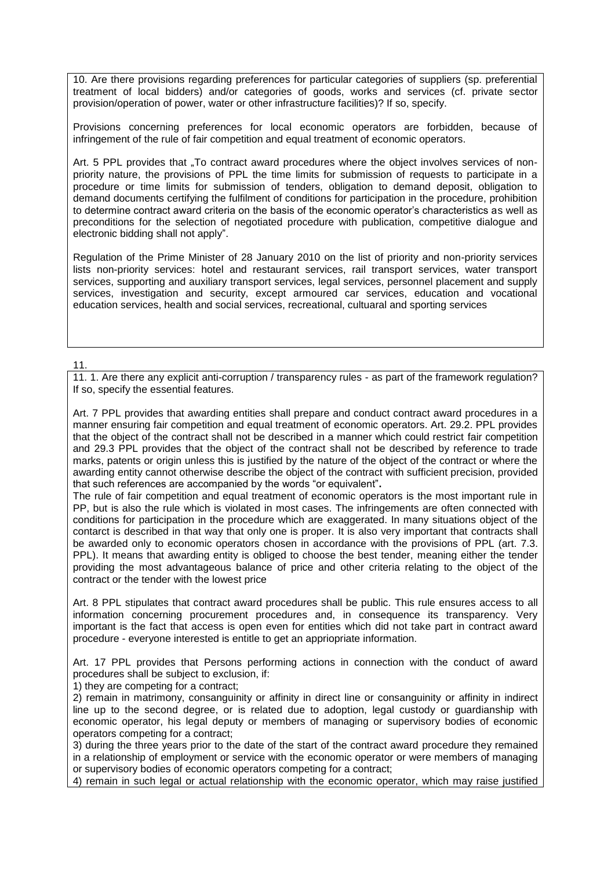10. Are there provisions regarding preferences for particular categories of suppliers (sp. preferential treatment of local bidders) and/or categories of goods, works and services (cf. private sector provision/operation of power, water or other infrastructure facilities)? If so, specify.

Provisions concerning preferences for local economic operators are forbidden, because of infringement of the rule of fair competition and equal treatment of economic operators.

Art. 5 PPL provides that . To contract award procedures where the object involves services of nonpriority nature, the provisions of PPL the time limits for submission of requests to participate in a procedure or time limits for submission of tenders, obligation to demand deposit, obligation to demand documents certifying the fulfilment of conditions for participation in the procedure, prohibition to determine contract award criteria on the basis of the economic operator's characteristics as well as preconditions for the selection of negotiated procedure with publication, competitive dialogue and electronic bidding shall not apply".

[Regulation of the Prime Minister of 28 January 2010 on the list of priority and non-priority services](http://www.uzp.gov.pl/cmsws/page/GetFile1.aspx?attid=1460) lists non-priority services: hotel and restaurant services, rail transport services, water transport services, supporting and auxiliary transport services, legal services, personnel placement and supply services, investigation and security, except armoured car services, education and vocational education services, health and social services, recreational, cultuaral and sporting services

### 11.

11. 1. Are there any explicit anti-corruption / transparency rules - as part of the framework regulation? If so, specify the essential features.

Art. 7 PPL provides that awarding entities shall prepare and conduct contract award procedures in a manner ensuring fair competition and equal treatment of economic operators. Art. 29.2. PPL provides that the object of the contract shall not be described in a manner which could restrict fair competition and 29.3 PPL provides that the object of the contract shall not be described by reference to trade marks, patents or origin unless this is justified by the nature of the object of the contract or where the awarding entity cannot otherwise describe the object of the contract with sufficient precision, provided that such references are accompanied by the words "or equivalent"**.**

The rule of fair competition and equal treatment of economic operators is the most important rule in PP, but is also the rule which is violated in most cases. The infringements are often connected with conditions for participation in the procedure which are exaggerated. In many situations object of the contarct is described in that way that only one is proper. It is also very important that contracts shall be awarded only to economic operators chosen in accordance with the provisions of PPL (art. 7.3. PPL). It means that awarding entity is obliged to choose the best tender, meaning either the tender providing the most advantageous balance of price and other criteria relating to the object of the contract or the tender with the lowest price

Art. 8 PPL stipulates that contract award procedures shall be public. This rule ensures access to all information concerning procurement procedures and, in consequence its transparency. Very important is the fact that access is open even for entities which did not take part in contract award procedure - everyone interested is entitle to get an appriopriate information.

Art. 17 PPL provides that Persons performing actions in connection with the conduct of award procedures shall be subject to exclusion, if:

1) they are competing for a contract;

2) remain in matrimony, consanguinity or affinity in direct line or consanguinity or affinity in indirect line up to the second degree, or is related due to adoption, legal custody or guardianship with economic operator, his legal deputy or members of managing or supervisory bodies of economic operators competing for a contract;

3) during the three years prior to the date of the start of the contract award procedure they remained in a relationship of employment or service with the economic operator or were members of managing or supervisory bodies of economic operators competing for a contract;

4) remain in such legal or actual relationship with the economic operator, which may raise justified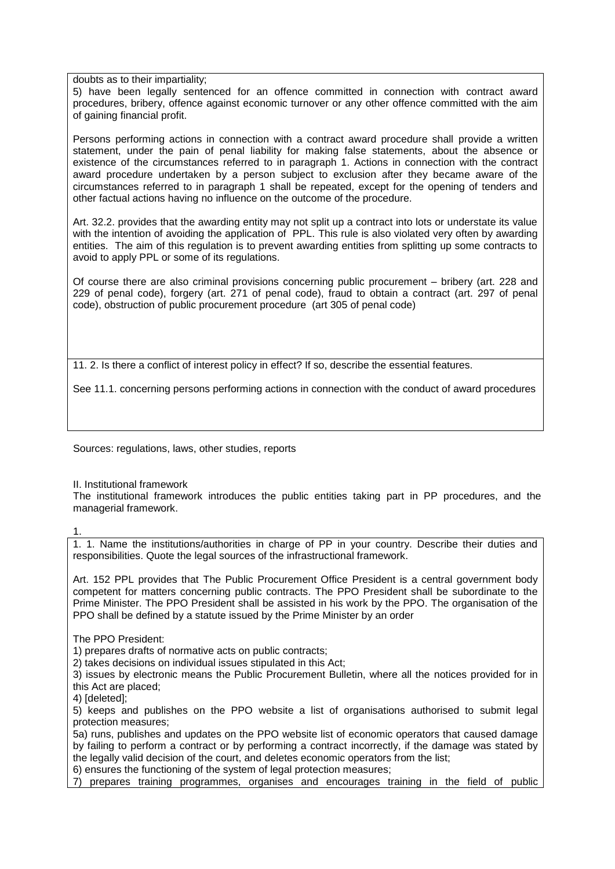doubts as to their impartiality;

5) have been legally sentenced for an offence committed in connection with contract award procedures, bribery, offence against economic turnover or any other offence committed with the aim of gaining financial profit.

Persons performing actions in connection with a contract award procedure shall provide a written statement, under the pain of penal liability for making false statements, about the absence or existence of the circumstances referred to in paragraph 1. Actions in connection with the contract award procedure undertaken by a person subject to exclusion after they became aware of the circumstances referred to in paragraph 1 shall be repeated, except for the opening of tenders and other factual actions having no influence on the outcome of the procedure.

Art. 32.2. provides that the awarding entity may not split up a contract into lots or understate its value with the intention of avoiding the application of PPL. This rule is also violated very often by awarding entities. The aim of this regulation is to prevent awarding entities from splitting up some contracts to avoid to apply PPL or some of its regulations.

Of course there are also criminal provisions concerning public procurement – bribery (art. 228 and 229 of penal code), forgery (art. 271 of penal code), fraud to obtain a contract (art. 297 of penal code), obstruction of public procurement procedure (art 305 of penal code)

11. 2. Is there a conflict of interest policy in effect? If so, describe the essential features.

See 11.1. concerning persons performing actions in connection with the conduct of award procedures

Sources: regulations, laws, other studies, reports

II. Institutional framework

The institutional framework introduces the public entities taking part in PP procedures, and the managerial framework.

1.

1. 1. Name the institutions/authorities in charge of PP in your country. Describe their duties and responsibilities. Quote the legal sources of the infrastructional framework.

Art. 152 PPL provides that The Public Procurement Office President is a central government body competent for matters concerning public contracts. The PPO President shall be subordinate to the Prime Minister. The PPO President shall be assisted in his work by the PPO. The organisation of the PPO shall be defined by a statute issued by the Prime Minister by an order

The PPO President:

1) prepares drafts of normative acts on public contracts;

2) takes decisions on individual issues stipulated in this Act;

3) issues by electronic means the Public Procurement Bulletin, where all the notices provided for in this Act are placed;

4) [deleted];

5) keeps and publishes on the PPO website a list of organisations authorised to submit legal protection measures;

5a) runs, publishes and updates on the PPO website list of economic operators that caused damage by failing to perform a contract or by performing a contract incorrectly, if the damage was stated by the legally valid decision of the court, and deletes economic operators from the list;

6) ensures the functioning of the system of legal protection measures;

7) prepares training programmes, organises and encourages training in the field of public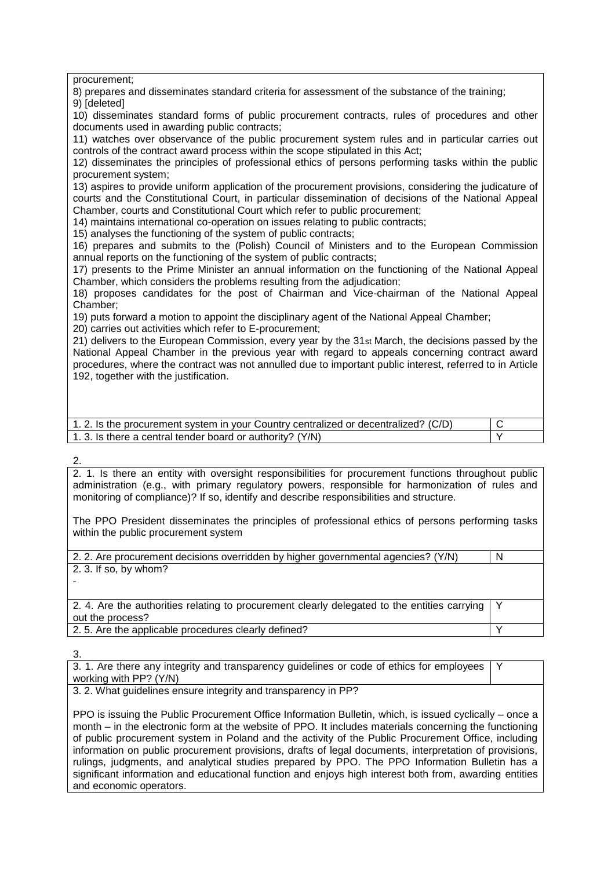procurement;

8) prepares and disseminates standard criteria for assessment of the substance of the training;

9) [deleted]

10) disseminates standard forms of public procurement contracts, rules of procedures and other documents used in awarding public contracts;

11) watches over observance of the public procurement system rules and in particular carries out controls of the contract award process within the scope stipulated in this Act;

12) disseminates the principles of professional ethics of persons performing tasks within the public procurement system;

13) aspires to provide uniform application of the procurement provisions, considering the judicature of courts and the Constitutional Court, in particular dissemination of decisions of the National Appeal Chamber, courts and Constitutional Court which refer to public procurement;

14) maintains international co-operation on issues relating to public contracts;

15) analyses the functioning of the system of public contracts;

16) prepares and submits to the (Polish) Council of Ministers and to the European Commission annual reports on the functioning of the system of public contracts;

17) presents to the Prime Minister an annual information on the functioning of the National Appeal Chamber, which considers the problems resulting from the adjudication;

18) proposes candidates for the post of Chairman and Vice-chairman of the National Appeal Chamber;

19) puts forward a motion to appoint the disciplinary agent of the National Appeal Chamber;

20) carries out activities which refer to E-procurement;

21) delivers to the European Commission, every year by the 31st March, the decisions passed by the National Appeal Chamber in the previous year with regard to appeals concerning contract award procedures, where the contract was not annulled due to important public interest, referred to in Article 192, together with the justification.

| 1.2. Is the procurement system in your Country centralized or decentralized? (C/D) |  |
|------------------------------------------------------------------------------------|--|
| 1. 3. Is there a central tender board or authority? (Y/N)                          |  |

### 2.

2. 1. Is there an entity with oversight responsibilities for procurement functions throughout public administration (e.g., with primary regulatory powers, responsible for harmonization of rules and monitoring of compliance)? If so, identify and describe responsibilities and structure.

The PPO President disseminates the principles of professional ethics of persons performing tasks within the public procurement system

| 2. 2. Are procurement decisions overridden by higher governmental agencies? (Y/N)                                   | N |
|---------------------------------------------------------------------------------------------------------------------|---|
| 2. 3. If so, by whom?                                                                                               |   |
|                                                                                                                     |   |
|                                                                                                                     |   |
| 2.4. Are the authorities relating to procurement clearly delegated to the entities carrying   Y<br>out the process? |   |
| 2.5. Are the applicable procedures clearly defined?                                                                 |   |

3.

3. 1. Are there any integrity and transparency guidelines or code of ethics for employees working with PP? (Y/N) Y

3. 2. What guidelines ensure integrity and transparency in PP?

PPO is issuing the Public Procurement Office Information Bulletin, which, is issued cyclically – once a month – in the electronic form at the website of PPO. It includes materials concerning the functioning of public procurement system in Poland and the activity of the Public Procurement Office, including information on public procurement provisions, drafts of legal documents, interpretation of provisions, rulings, judgments, and analytical studies prepared by PPO. The PPO Information Bulletin has a significant information and educational function and enjoys high interest both from, awarding entities and economic operators.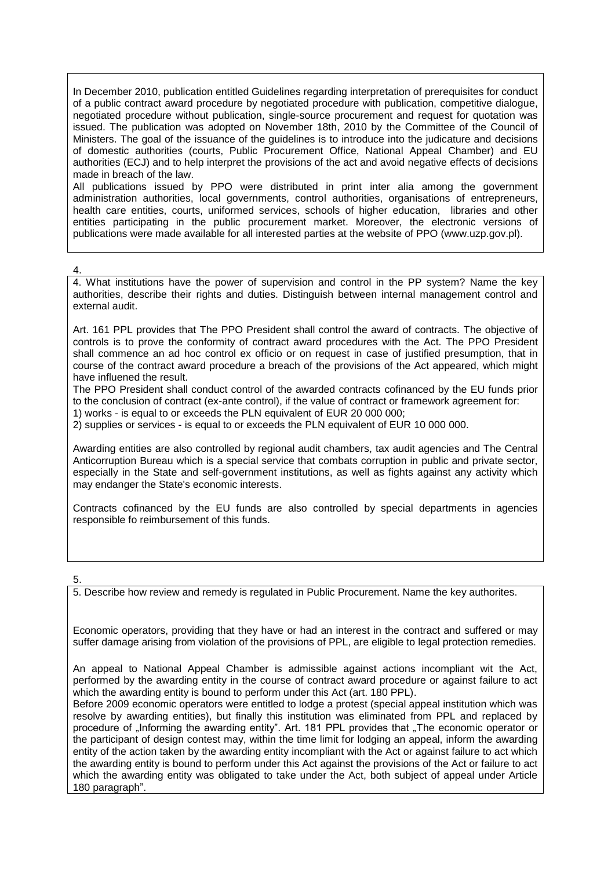In December 2010, publication entitled Guidelines regarding interpretation of prerequisites for conduct of a public contract award procedure by negotiated procedure with publication, competitive dialogue, negotiated procedure without publication, single-source procurement and request for quotation was issued. The publication was adopted on November 18th, 2010 by the Committee of the Council of Ministers. The goal of the issuance of the guidelines is to introduce into the judicature and decisions of domestic authorities (courts, Public Procurement Office, National Appeal Chamber) and EU authorities (ECJ) and to help interpret the provisions of the act and avoid negative effects of decisions made in breach of the law.

All publications issued by PPO were distributed in print inter alia among the government administration authorities, local governments, control authorities, organisations of entrepreneurs, health care entities, courts, uniformed services, schools of higher education, libraries and other entities participating in the public procurement market. Moreover, the electronic versions of publications were made available for all interested parties at the website of PPO (www.uzp.gov.pl).

# 4.

4. What institutions have the power of supervision and control in the PP system? Name the key authorities, describe their rights and duties. Distinguish between internal management control and external audit.

Art. 161 PPL provides that The PPO President shall control the award of contracts. The objective of controls is to prove the conformity of contract award procedures with the Act. The PPO President shall commence an ad hoc control ex officio or on request in case of justified presumption, that in course of the contract award procedure a breach of the provisions of the Act appeared, which might have influened the result.

The PPO President shall conduct control of the awarded contracts cofinanced by the EU funds prior to the conclusion of contract (ex-ante control), if the value of contract or framework agreement for: 1) works - is equal to or exceeds the PLN equivalent of EUR 20 000 000;

2) supplies or services - is equal to or exceeds the PLN equivalent of EUR 10 000 000.

Awarding entities are also controlled by regional audit chambers, tax audit agencies and The Central Anticorruption Bureau which is a special service that combats corruption in public and private sector, especially in the State and self-government institutions, as well as fights against any activity which may endanger the State's economic interests.

Contracts cofinanced by the EU funds are also controlled by special departments in agencies responsible fo reimbursement of this funds.

# 5.

5. Describe how review and remedy is regulated in Public Procurement. Name the key authorites.

Economic operators, providing that they have or had an interest in the contract and suffered or may suffer damage arising from violation of the provisions of PPL, are eligible to legal protection remedies.

An appeal to National Appeal Chamber is admissible against actions incompliant wit the Act, performed by the awarding entity in the course of contract award procedure or against failure to act which the awarding entity is bound to perform under this Act (art. 180 PPL).

Before 2009 economic operators were entitled to lodge a protest (special appeal institution which was resolve by awarding entities), but finally this institution was eliminated from PPL and replaced by procedure of "Informing the awarding entity". Art. 181 PPL provides that "The economic operator or the participant of design contest may, within the time limit for lodging an appeal, inform the awarding entity of the action taken by the awarding entity incompliant with the Act or against failure to act which the awarding entity is bound to perform under this Act against the provisions of the Act or failure to act which the awarding entity was obligated to take under the Act, both subject of appeal under Article 180 paragraph".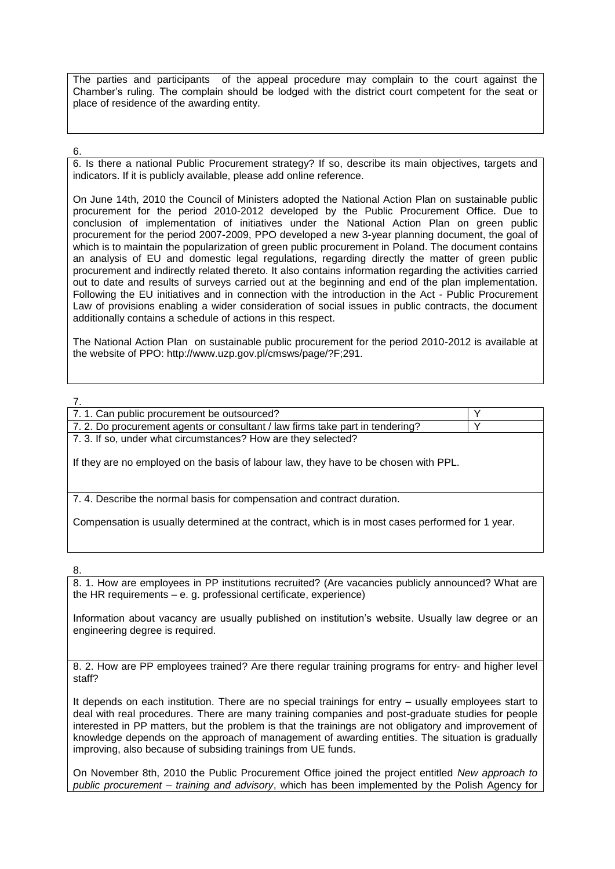The parties and participants of the appeal procedure may complain to the court against the Chamber's ruling. The complain should be lodged with the district court competent for the seat or place of residence of the awarding entity.

6.

6. Is there a national Public Procurement strategy? If so, describe its main objectives, targets and indicators. If it is publicly available, please add online reference.

On June 14th, 2010 the Council of Ministers adopted the National Action Plan on sustainable public procurement for the period 2010-2012 developed by the Public Procurement Office. Due to conclusion of implementation of initiatives under the National Action Plan on green public procurement for the period 2007-2009, PPO developed a new 3-year planning document, the goal of which is to maintain the popularization of green public procurement in Poland. The document contains an analysis of EU and domestic legal regulations, regarding directly the matter of green public procurement and indirectly related thereto. It also contains information regarding the activities carried out to date and results of surveys carried out at the beginning and end of the plan implementation. Following the EU initiatives and in connection with the introduction in the Act - Public Procurement Law of provisions enabling a wider consideration of social issues in public contracts, the document additionally contains a schedule of actions in this respect.

The National Action Plan on sustainable public procurement for the period 2010-2012 is available at the website of PPO: http://www.uzp.gov.pl/cmsws/page/?F;291.

7.

| 7.1. Can public procurement be outsourced?                                           |  |
|--------------------------------------------------------------------------------------|--|
| 7.2. Do procurement agents or consultant / law firms take part in tendering?         |  |
| 7.3. If so, under what circumstances? How are they selected?                         |  |
| If they are no employed on the basis of labour law, they have to be chosen with PPL. |  |

7. 4. Describe the normal basis for compensation and contract duration.

Compensation is usually determined at the contract, which is in most cases performed for 1 year.

8.

8. 1. How are employees in PP institutions recruited? (Are vacancies publicly announced? What are the HR requirements – e. g. professional certificate, experience)

Information about vacancy are usually published on institution's website. Usually law degree or an engineering degree is required.

8. 2. How are PP employees trained? Are there regular training programs for entry- and higher level staff?

It depends on each institution. There are no special trainings for entry – usually employees start to deal with real procedures. There are many training companies and post-graduate studies for people interested in PP matters, but the problem is that the trainings are not obligatory and improvement of knowledge depends on the approach of management of awarding entities. The situation is gradually improving, also because of subsiding trainings from UE funds.

On November 8th, 2010 the Public Procurement Office joined the project entitled *New approach to public procurement – training and advisory*, which has been implemented by the Polish Agency for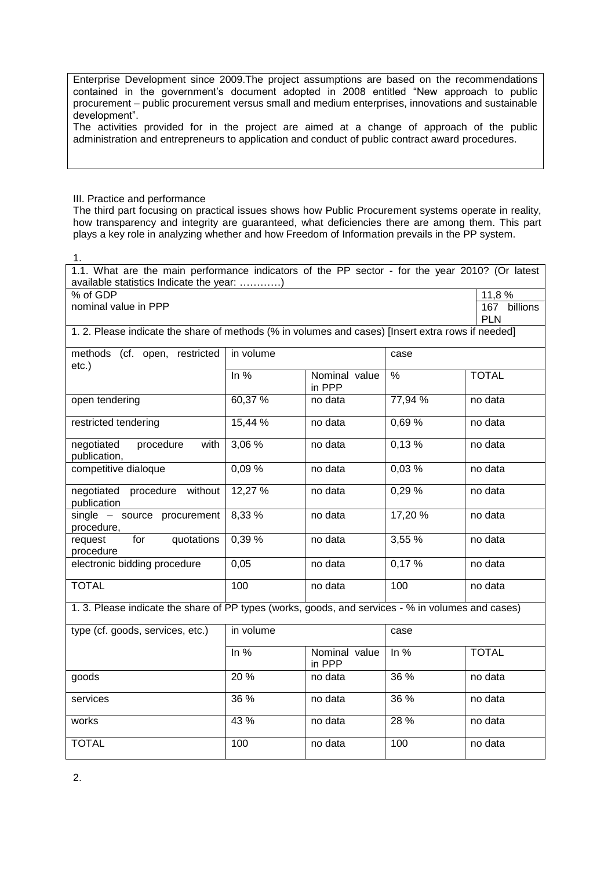Enterprise Development since 2009.The project assumptions are based on the recommendations contained in the government's document adopted in 2008 entitled "New approach to public procurement – public procurement versus small and medium enterprises, innovations and sustainable development".

The activities provided for in the project are aimed at a change of approach of the public administration and entrepreneurs to application and conduct of public contract award procedures.

III. Practice and performance

The third part focusing on practical issues shows how Public Procurement systems operate in reality, how transparency and integrity are guaranteed, what deficiencies there are among them. This part plays a key role in analyzing whether and how Freedom of Information prevails in the PP system.

1.

| 1.1. What are the main performance indicators of the PP sector - for the year 2010? (Or latest<br>available statistics Indicate the year: ) |           |                         |         |                            |  |  |  |
|---------------------------------------------------------------------------------------------------------------------------------------------|-----------|-------------------------|---------|----------------------------|--|--|--|
| % of GDP<br>11,8 %                                                                                                                          |           |                         |         |                            |  |  |  |
| nominal value in PPP                                                                                                                        |           |                         |         |                            |  |  |  |
|                                                                                                                                             |           |                         |         | 167 billions<br><b>PLN</b> |  |  |  |
| 1. 2. Please indicate the share of methods (% in volumes and cases) [Insert extra rows if needed]                                           |           |                         |         |                            |  |  |  |
| methods (cf. open, restricted<br>$etc.$ )                                                                                                   | in volume |                         | case    |                            |  |  |  |
|                                                                                                                                             | In $%$    | Nominal value<br>in PPP | $\%$    | <b>TOTAL</b>               |  |  |  |
| open tendering                                                                                                                              | 60,37 %   | no data                 | 77,94 % | no data                    |  |  |  |
| restricted tendering                                                                                                                        | 15,44 %   | no data                 | 0,69%   | no data                    |  |  |  |
| negotiated<br>procedure<br>with<br>publication,                                                                                             | 3,06%     | no data                 | 0,13%   | no data                    |  |  |  |
| competitive dialoque                                                                                                                        | 0,09%     | no data                 | 0,03%   | no data                    |  |  |  |
| negotiated<br>procedure without<br>publication                                                                                              | 12,27 %   | no data                 | 0,29%   | no data                    |  |  |  |
| single - source procurement<br>procedure,                                                                                                   | 8,33 %    | no data                 | 17,20 % | no data                    |  |  |  |
| for<br>quotations<br>request<br>procedure                                                                                                   | 0,39 %    | no data                 | 3,55 %  | no data                    |  |  |  |
| electronic bidding procedure                                                                                                                | 0,05      | no data                 | 0,17%   | no data                    |  |  |  |
| <b>TOTAL</b>                                                                                                                                | 100       | no data                 | 100     | no data                    |  |  |  |
| 1. 3. Please indicate the share of PP types (works, goods, and services - % in volumes and cases)                                           |           |                         |         |                            |  |  |  |
| type (cf. goods, services, etc.)                                                                                                            | in volume |                         | case    |                            |  |  |  |
|                                                                                                                                             | In $%$    | Nominal value<br>in PPP | In $%$  | <b>TOTAL</b>               |  |  |  |
| goods                                                                                                                                       | 20 %      | no data                 | 36 %    | no data                    |  |  |  |
| services                                                                                                                                    | 36 %      | no data                 | 36 %    | no data                    |  |  |  |
| works                                                                                                                                       | 43 %      | no data                 | 28 %    | no data                    |  |  |  |
| <b>TOTAL</b>                                                                                                                                | 100       | no data                 | 100     | no data                    |  |  |  |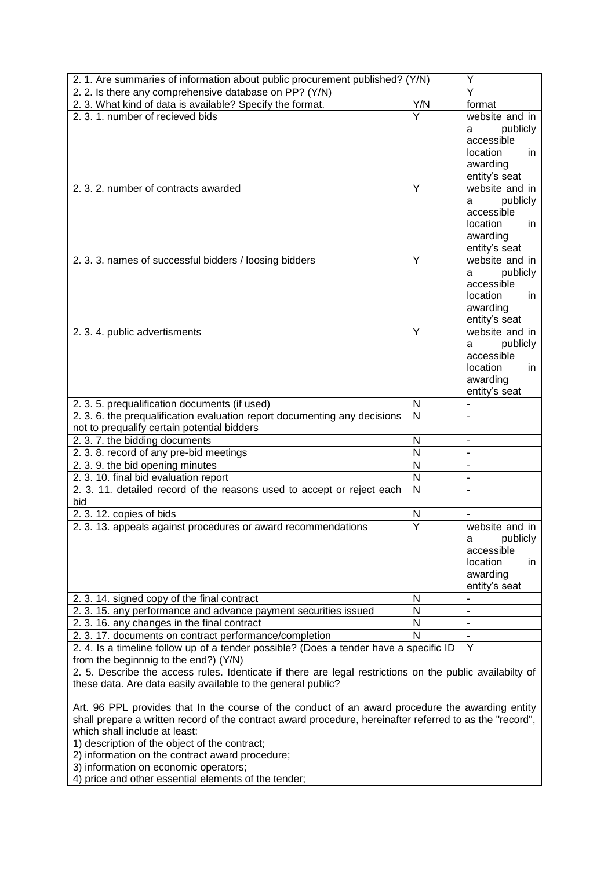| 2. 1. Are summaries of information about public procurement published? (Y/N)                                                                                                                                                                                                                                                                      |                         | Y                                                                                             |
|---------------------------------------------------------------------------------------------------------------------------------------------------------------------------------------------------------------------------------------------------------------------------------------------------------------------------------------------------|-------------------------|-----------------------------------------------------------------------------------------------|
| 2. 2. Is there any comprehensive database on PP? (Y/N)                                                                                                                                                                                                                                                                                            |                         | $\overline{\mathsf{Y}}$                                                                       |
| 2. 3. What kind of data is available? Specify the format.                                                                                                                                                                                                                                                                                         | Y/N                     | format                                                                                        |
| 2.3.1. number of recieved bids                                                                                                                                                                                                                                                                                                                    | $\overline{\mathsf{Y}}$ | website and in<br>publicly<br>а<br>accessible<br>location<br>in.<br>awarding<br>entity's seat |
| 2.3.2. number of contracts awarded                                                                                                                                                                                                                                                                                                                | Y                       | website and in<br>publicly<br>а<br>accessible<br>location<br>in.<br>awarding<br>entity's seat |
| 2.3.3. names of successful bidders / loosing bidders                                                                                                                                                                                                                                                                                              | Y                       | website and in<br>publicly<br>а<br>accessible<br>location<br>in.<br>awarding<br>entity's seat |
| 2. 3. 4. public advertisments                                                                                                                                                                                                                                                                                                                     | Y                       | website and in<br>publicly<br>a<br>accessible<br>location<br>in.<br>awarding<br>entity's seat |
| 2. 3. 5. prequalification documents (if used)                                                                                                                                                                                                                                                                                                     | N                       |                                                                                               |
| 2. 3. 6. the prequalification evaluation report documenting any decisions<br>not to prequalify certain potential bidders                                                                                                                                                                                                                          | $\overline{N}$          |                                                                                               |
| 2. 3. 7. the bidding documents                                                                                                                                                                                                                                                                                                                    | $\mathsf{N}$            | $\blacksquare$                                                                                |
| 2. 3. 8. record of any pre-bid meetings                                                                                                                                                                                                                                                                                                           | $\overline{\mathsf{N}}$ | $\blacksquare$                                                                                |
| 2. 3. 9. the bid opening minutes                                                                                                                                                                                                                                                                                                                  | N                       | ä,                                                                                            |
| 2. 3. 10. final bid evaluation report                                                                                                                                                                                                                                                                                                             | N                       | $\overline{a}$                                                                                |
| 2. 3. 11. detailed record of the reasons used to accept or reject each<br>bid                                                                                                                                                                                                                                                                     | $\overline{N}$          |                                                                                               |
| 2. 3. 12. copies of bids                                                                                                                                                                                                                                                                                                                          | $\mathsf{N}$            |                                                                                               |
| 2. 3. 13. appeals against procedures or award recommendations                                                                                                                                                                                                                                                                                     | $\overline{Y}$          | website and in<br>publicly<br>а<br>accessible<br>location<br>in.<br>awarding<br>entity's seat |
| 2. 3. 14. signed copy of the final contract                                                                                                                                                                                                                                                                                                       | N                       | $\overline{a}$                                                                                |
| 2. 3. 15. any performance and advance payment securities issued                                                                                                                                                                                                                                                                                   | $\mathsf{N}$            | $\overline{\phantom{0}}$                                                                      |
| 2.3.16. any changes in the final contract                                                                                                                                                                                                                                                                                                         | $\mathsf{N}$            |                                                                                               |
| 2. 3. 17. documents on contract performance/completion                                                                                                                                                                                                                                                                                            | $\mathsf{N}$            | $\blacksquare$                                                                                |
| 2. 4. Is a timeline follow up of a tender possible? (Does a tender have a specific ID<br>from the beginnnig to the end?) (Y/N)                                                                                                                                                                                                                    |                         | Y                                                                                             |
| 2. 5. Describe the access rules. Identicate if there are legal restrictions on the public availabilty of<br>these data. Are data easily available to the general public?                                                                                                                                                                          |                         |                                                                                               |
| Art. 96 PPL provides that In the course of the conduct of an award procedure the awarding entity<br>shall prepare a written record of the contract award procedure, hereinafter referred to as the "record",<br>which shall include at least:<br>1) description of the object of the contract;<br>2) information on the contract award procedure; |                         |                                                                                               |

3) information on economic operators;

4) price and other essential elements of the tender;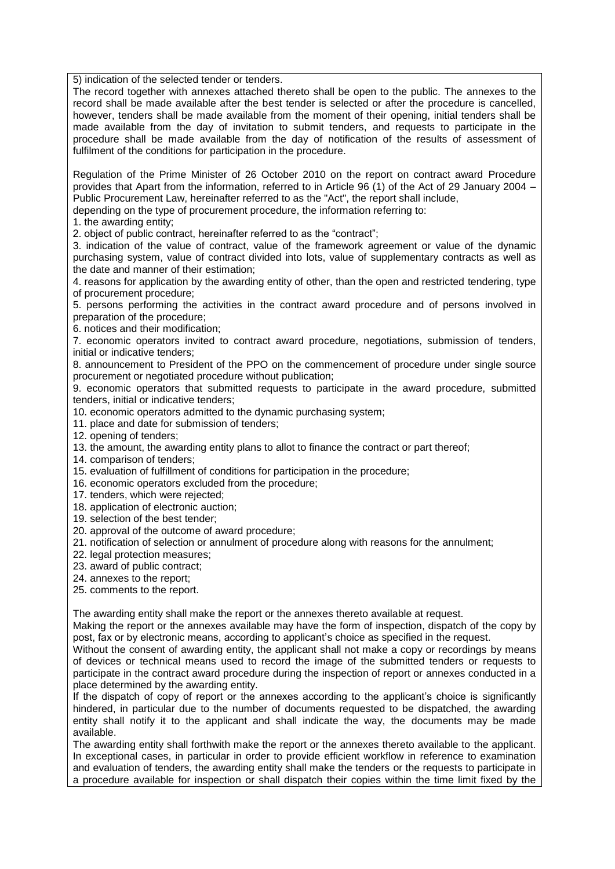5) indication of the selected tender or tenders.

The record together with annexes attached thereto shall be open to the public. The annexes to the record shall be made available after the best tender is selected or after the procedure is cancelled, however, tenders shall be made available from the moment of their opening, initial tenders shall be made available from the day of invitation to submit tenders, and requests to participate in the procedure shall be made available from the day of notification of the results of assessment of fulfilment of the conditions for participation in the procedure.

Regulation of the Prime Minister of 26 October 2010 on the report on contract award Procedure provides that Apart from the information, referred to in Article 96 (1) of the Act of 29 January 2004 – Public Procurement Law, hereinafter referred to as the "Act", the report shall include, depending on the type of procurement procedure, the information referring to:

1. the awarding entity;

2. object of public contract, hereinafter referred to as the "contract";

3. indication of the value of contract, value of the framework agreement or value of the dynamic purchasing system, value of contract divided into lots, value of supplementary contracts as well as the date and manner of their estimation;

4. reasons for application by the awarding entity of other, than the open and restricted tendering, type of procurement procedure;

5. persons performing the activities in the contract award procedure and of persons involved in preparation of the procedure;

6. notices and their modification;

7. economic operators invited to contract award procedure, negotiations, submission of tenders, initial or indicative tenders;

8. announcement to President of the PPO on the commencement of procedure under single source procurement or negotiated procedure without publication;

9. economic operators that submitted requests to participate in the award procedure, submitted tenders, initial or indicative tenders;

10. economic operators admitted to the dynamic purchasing system;

- 11. place and date for submission of tenders;
- 12. opening of tenders;
- 13. the amount, the awarding entity plans to allot to finance the contract or part thereof;
- 14. comparison of tenders;
- 15. evaluation of fulfillment of conditions for participation in the procedure;
- 16. economic operators excluded from the procedure;
- 17. tenders, which were rejected;
- 18. application of electronic auction;
- 19. selection of the best tender;
- 20. approval of the outcome of award procedure;
- 21. notification of selection or annulment of procedure along with reasons for the annulment;
- 22. legal protection measures;
- 23. award of public contract;
- 24. annexes to the report;
- 25. comments to the report.

The awarding entity shall make the report or the annexes thereto available at request.

Making the report or the annexes available may have the form of inspection, dispatch of the copy by post, fax or by electronic means, according to applicant's choice as specified in the request.

Without the consent of awarding entity, the applicant shall not make a copy or recordings by means of devices or technical means used to record the image of the submitted tenders or requests to participate in the contract award procedure during the inspection of report or annexes conducted in a place determined by the awarding entity.

If the dispatch of copy of report or the annexes according to the applicant's choice is significantly hindered, in particular due to the number of documents requested to be dispatched, the awarding entity shall notify it to the applicant and shall indicate the way, the documents may be made available.

The awarding entity shall forthwith make the report or the annexes thereto available to the applicant. In exceptional cases, in particular in order to provide efficient workflow in reference to examination and evaluation of tenders, the awarding entity shall make the tenders or the requests to participate in a procedure available for inspection or shall dispatch their copies within the time limit fixed by the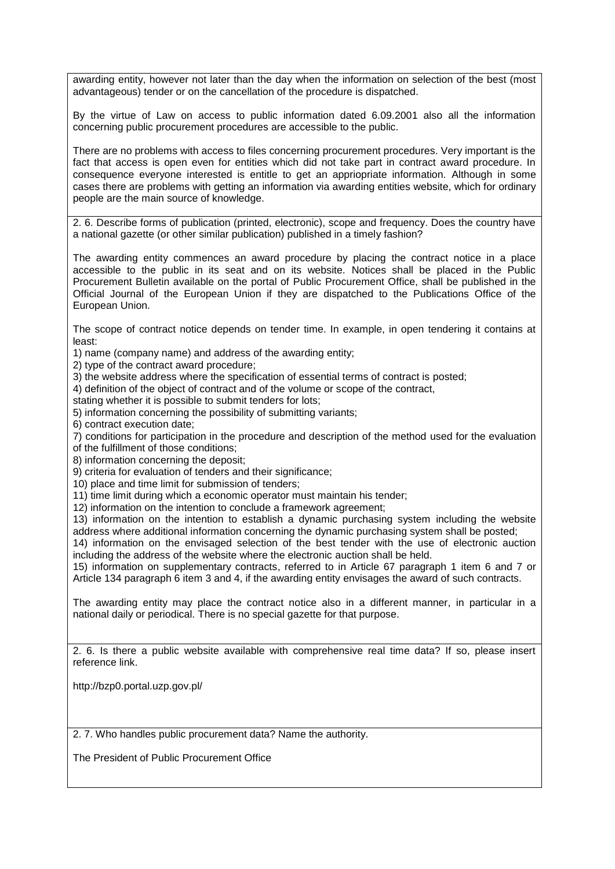awarding entity, however not later than the day when the information on selection of the best (most advantageous) tender or on the cancellation of the procedure is dispatched.

By the virtue of Law on access to public information dated 6.09.2001 also all the information concerning public procurement procedures are accessible to the public.

There are no problems with access to files concerning procurement procedures. Very important is the fact that access is open even for entities which did not take part in contract award procedure. In consequence everyone interested is entitle to get an appriopriate information. Although in some cases there are problems with getting an information via awarding entities website, which for ordinary people are the main source of knowledge.

2. 6. Describe forms of publication (printed, electronic), scope and frequency. Does the country have a national gazette (or other similar publication) published in a timely fashion?

The awarding entity commences an award procedure by placing the contract notice in a place accessible to the public in its seat and on its website. Notices shall be placed in the Public Procurement Bulletin available on the portal of Public Procurement Office, shall be published in the Official Journal of the European Union if they are dispatched to the Publications Office of the European Union.

The scope of contract notice depends on tender time. In example, in open tendering it contains at least:

1) name (company name) and address of the awarding entity;

2) type of the contract award procedure;

3) the website address where the specification of essential terms of contract is posted;

4) definition of the object of contract and of the volume or scope of the contract,

stating whether it is possible to submit tenders for lots;

5) information concerning the possibility of submitting variants;

6) contract execution date;

7) conditions for participation in the procedure and description of the method used for the evaluation

of the fulfillment of those conditions;

8) information concerning the deposit;

9) criteria for evaluation of tenders and their significance:

10) place and time limit for submission of tenders;

11) time limit during which a economic operator must maintain his tender;

12) information on the intention to conclude a framework agreement;

13) information on the intention to establish a dynamic purchasing system including the website address where additional information concerning the dynamic purchasing system shall be posted;

14) information on the envisaged selection of the best tender with the use of electronic auction including the address of the website where the electronic auction shall be held.

15) information on supplementary contracts, referred to in Article 67 paragraph 1 item 6 and 7 or Article 134 paragraph 6 item 3 and 4, if the awarding entity envisages the award of such contracts.

The awarding entity may place the contract notice also in a different manner, in particular in a national daily or periodical. There is no special gazette for that purpose.

2. 6. Is there a public website available with comprehensive real time data? If so, please insert reference link.

http://bzp0.portal.uzp.gov.pl/

2. 7. Who handles public procurement data? Name the authority.

The President of Public Procurement Office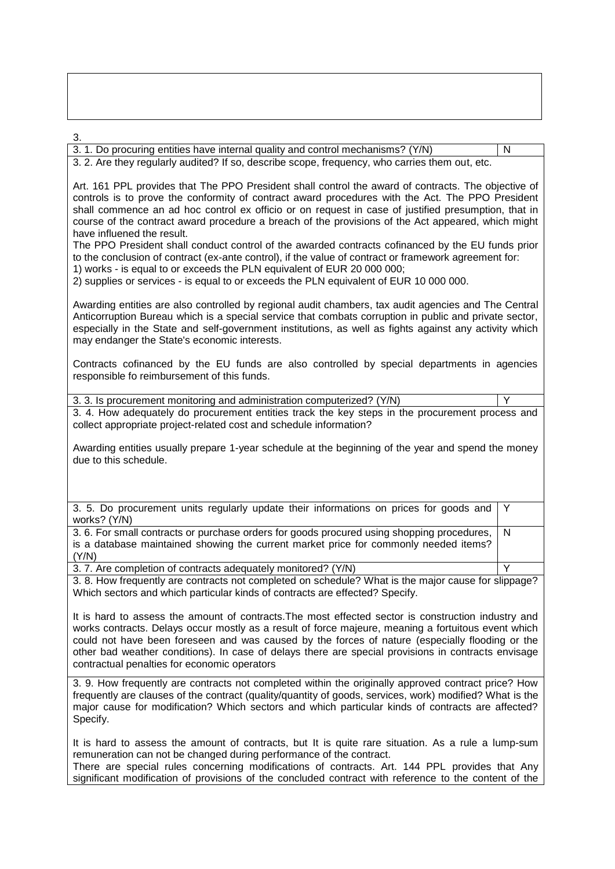3. 3. 1. Do procuring entities have internal quality and control mechanisms? (Y/N) N 3. 2. Are they regularly audited? If so, describe scope, frequency, who carries them out, etc. Art. 161 PPL provides that The PPO President shall control the award of contracts. The objective of controls is to prove the conformity of contract award procedures with the Act. The PPO President shall commence an ad hoc control ex officio or on request in case of justified presumption, that in course of the contract award procedure a breach of the provisions of the Act appeared, which might have influened the result. The PPO President shall conduct control of the awarded contracts cofinanced by the EU funds prior to the conclusion of contract (ex-ante control), if the value of contract or framework agreement for: 1) works - is equal to or exceeds the PLN equivalent of EUR 20 000 000; 2) supplies or services - is equal to or exceeds the PLN equivalent of EUR 10 000 000. Awarding entities are also controlled by regional audit chambers, tax audit agencies and The Central Anticorruption Bureau which is a special service that combats corruption in public and private sector, especially in the State and self-government institutions, as well as fights against any activity which may endanger the State's economic interests. Contracts cofinanced by the EU funds are also controlled by special departments in agencies responsible fo reimbursement of this funds. 3. 3. Is procurement monitoring and administration computerized? (Y/N) 3. 4. How adequately do procurement entities track the key steps in the procurement process and collect appropriate project-related cost and schedule information? Awarding entities usually prepare 1-year schedule at the beginning of the year and spend the money due to this schedule. 3. 5. Do procurement units regularly update their informations on prices for goods and works? (Y/N) Y 3. 6. For small contracts or purchase orders for goods procured using shopping procedures, is a database maintained showing the current market price for commonly needed items? (Y/N) N 3. 7. Are completion of contracts adequately monitored? (Y/N) 3. 8. How frequently are contracts not completed on schedule? What is the major cause for slippage? Which sectors and which particular kinds of contracts are effected? Specify. It is hard to assess the amount of contracts.The most effected sector is construction industry and works contracts. Delays occur mostly as a result of force majeure, meaning a fortuitous event which could not have been foreseen and was caused by the forces of nature (especially flooding or the other bad weather conditions). In case of delays there are special provisions in contracts envisage contractual penalties for economic operators 3. 9. How frequently are contracts not completed within the originally approved contract price? How frequently are clauses of the contract (quality/quantity of goods, services, work) modified? What is the major cause for modification? Which sectors and which particular kinds of contracts are affected? Specify.

It is hard to assess the amount of contracts, but It is quite rare situation. As a rule a lump-sum remuneration can not be changed during performance of the contract.

There are special rules concerning modifications of contracts. Art. 144 PPL provides that Any significant modification of provisions of the concluded contract with reference to the content of the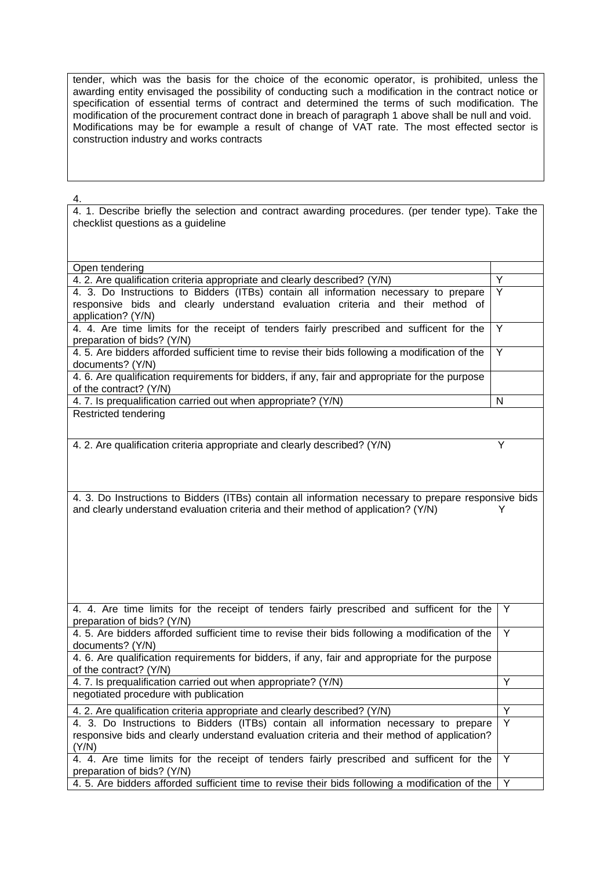tender, which was the basis for the choice of the economic operator, is prohibited, unless the awarding entity envisaged the possibility of conducting such a modification in the contract notice or specification of essential terms of contract and determined the terms of such modification. The modification of the procurement contract done in breach of paragraph 1 above shall be null and void. Modifications may be for ewample a result of change of VAT rate. The most effected sector is construction industry and works contracts

4.

4. 1. Describe briefly the selection and contract awarding procedures. (per tender type). Take the checklist questions as a guideline

| Open tendering                                                                                       |                |
|------------------------------------------------------------------------------------------------------|----------------|
| 4. 2. Are qualification criteria appropriate and clearly described? (Y/N)                            | Υ              |
| 4. 3. Do Instructions to Bidders (ITBs) contain all information necessary to prepare                 | $\overline{Y}$ |
| responsive bids and clearly understand evaluation criteria and their method of                       |                |
| application? (Y/N)                                                                                   |                |
| 4. 4. Are time limits for the receipt of tenders fairly prescribed and sufficent for the             | $\overline{Y}$ |
| preparation of bids? (Y/N)                                                                           |                |
| 4.5. Are bidders afforded sufficient time to revise their bids following a modification of the       | Y              |
| documents? (Y/N)                                                                                     |                |
| 4. 6. Are qualification requirements for bidders, if any, fair and appropriate for the purpose       |                |
| of the contract? (Y/N)                                                                               |                |
| 4.7. Is prequalification carried out when appropriate? (Y/N)                                         | N              |
| Restricted tendering                                                                                 |                |
|                                                                                                      |                |
|                                                                                                      |                |
| 4. 2. Are qualification criteria appropriate and clearly described? (Y/N)                            | Υ              |
|                                                                                                      |                |
|                                                                                                      |                |
|                                                                                                      |                |
| 4. 3. Do Instructions to Bidders (ITBs) contain all information necessary to prepare responsive bids |                |
| and clearly understand evaluation criteria and their method of application? (Y/N)                    | Y              |
|                                                                                                      |                |
|                                                                                                      |                |
|                                                                                                      |                |
|                                                                                                      |                |
|                                                                                                      |                |
|                                                                                                      |                |
|                                                                                                      |                |
|                                                                                                      |                |
| 4. 4. Are time limits for the receipt of tenders fairly prescribed and sufficent for the             | Y              |
| preparation of bids? (Y/N)                                                                           |                |
| 4.5. Are bidders afforded sufficient time to revise their bids following a modification of the       | Y              |
| documents? (Y/N)                                                                                     |                |
| 4. 6. Are qualification requirements for bidders, if any, fair and appropriate for the purpose       |                |
| of the contract? (Y/N)                                                                               |                |
| 4.7. Is prequalification carried out when appropriate? (Y/N)                                         | Y              |
| negotiated procedure with publication                                                                |                |
| 4. 2. Are qualification criteria appropriate and clearly described? (Y/N)                            | Y              |
| 4. 3. Do Instructions to Bidders (ITBs) contain all information necessary to prepare                 | Y              |
| responsive bids and clearly understand evaluation criteria and their method of application?          |                |
|                                                                                                      |                |
| (Y/N)                                                                                                |                |
| 4. 4. Are time limits for the receipt of tenders fairly prescribed and sufficent for the             | Y              |
| preparation of bids? (Y/N)                                                                           |                |
| 4.5. Are bidders afforded sufficient time to revise their bids following a modification of the       | Y              |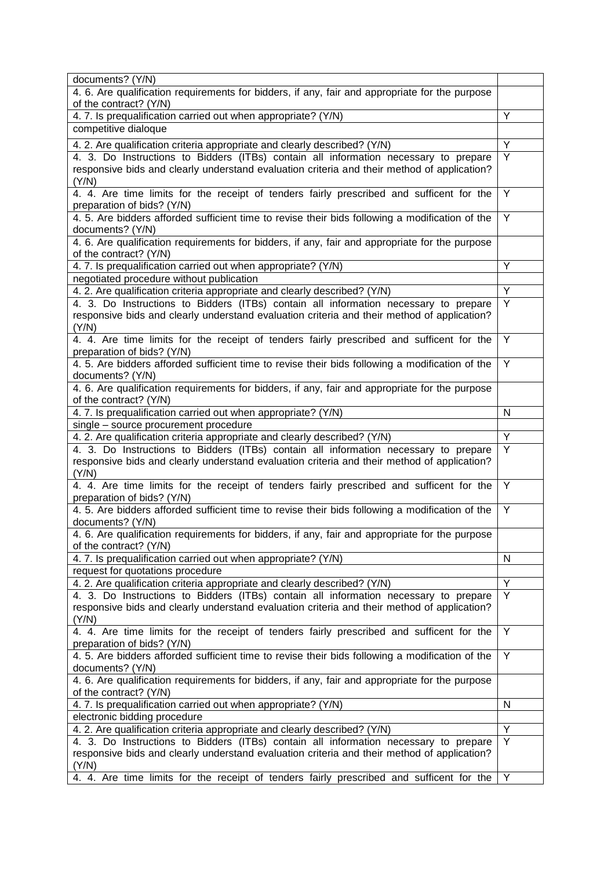| documents? (Y/N)                                                                                                                                                  |   |
|-------------------------------------------------------------------------------------------------------------------------------------------------------------------|---|
| 4. 6. Are qualification requirements for bidders, if any, fair and appropriate for the purpose                                                                    |   |
| of the contract? (Y/N)                                                                                                                                            |   |
| 4.7. Is prequalification carried out when appropriate? (Y/N)                                                                                                      | Y |
| competitive dialoque                                                                                                                                              |   |
| 4. 2. Are qualification criteria appropriate and clearly described? (Y/N)                                                                                         | Y |
| 4. 3. Do Instructions to Bidders (ITBs) contain all information necessary to prepare                                                                              | Y |
| responsive bids and clearly understand evaluation criteria and their method of application?                                                                       |   |
| (Y/N)                                                                                                                                                             |   |
| 4. 4. Are time limits for the receipt of tenders fairly prescribed and sufficent for the                                                                          | Y |
| preparation of bids? (Y/N)                                                                                                                                        |   |
| 4.5. Are bidders afforded sufficient time to revise their bids following a modification of the                                                                    | Y |
| documents? (Y/N)                                                                                                                                                  |   |
| 4. 6. Are qualification requirements for bidders, if any, fair and appropriate for the purpose                                                                    |   |
| of the contract? (Y/N)                                                                                                                                            | Y |
| 4.7. Is prequalification carried out when appropriate? (Y/N)                                                                                                      |   |
| negotiated procedure without publication                                                                                                                          | Y |
| 4. 2. Are qualification criteria appropriate and clearly described? (Y/N)<br>4. 3. Do Instructions to Bidders (ITBs) contain all information necessary to prepare | Y |
| responsive bids and clearly understand evaluation criteria and their method of application?                                                                       |   |
| (Y/N)                                                                                                                                                             |   |
| 4. 4. Are time limits for the receipt of tenders fairly prescribed and sufficent for the                                                                          | Y |
| preparation of bids? (Y/N)                                                                                                                                        |   |
| 4.5. Are bidders afforded sufficient time to revise their bids following a modification of the                                                                    | Y |
| documents? (Y/N)                                                                                                                                                  |   |
| 4. 6. Are qualification requirements for bidders, if any, fair and appropriate for the purpose                                                                    |   |
| of the contract? (Y/N)                                                                                                                                            |   |
| 4.7. Is prequalification carried out when appropriate? (Y/N)                                                                                                      | N |
| single - source procurement procedure                                                                                                                             |   |
| 4. 2. Are qualification criteria appropriate and clearly described? (Y/N)                                                                                         | Y |
| 4. 3. Do Instructions to Bidders (ITBs) contain all information necessary to prepare                                                                              | Y |
| responsive bids and clearly understand evaluation criteria and their method of application?                                                                       |   |
| (Y/N)                                                                                                                                                             |   |
| 4. 4. Are time limits for the receipt of tenders fairly prescribed and sufficent for the                                                                          | Y |
| preparation of bids? (Y/N)                                                                                                                                        |   |
| 4.5. Are bidders afforded sufficient time to revise their bids following a modification of the                                                                    | Y |
| documents? (Y/N)                                                                                                                                                  |   |
| 4. 6. Are qualification requirements for bidders, if any, fair and appropriate for the purpose                                                                    |   |
| of the contract? (Y/N)                                                                                                                                            |   |
| 4.7. Is prequalification carried out when appropriate? (Y/N)                                                                                                      | N |
| request for quotations procedure                                                                                                                                  | Y |
| 4. 2. Are qualification criteria appropriate and clearly described? (Y/N)<br>4. 3. Do Instructions to Bidders (ITBs) contain all information necessary to prepare | Y |
| responsive bids and clearly understand evaluation criteria and their method of application?                                                                       |   |
| (Y/N)                                                                                                                                                             |   |
| 4. 4. Are time limits for the receipt of tenders fairly prescribed and sufficent for the                                                                          | Y |
| preparation of bids? (Y/N)                                                                                                                                        |   |
| 4.5. Are bidders afforded sufficient time to revise their bids following a modification of the                                                                    | Y |
| documents? (Y/N)                                                                                                                                                  |   |
| 4. 6. Are qualification requirements for bidders, if any, fair and appropriate for the purpose                                                                    |   |
| of the contract? (Y/N)                                                                                                                                            |   |
| 4.7. Is prequalification carried out when appropriate? (Y/N)                                                                                                      | N |
| electronic bidding procedure                                                                                                                                      |   |
| 4. 2. Are qualification criteria appropriate and clearly described? (Y/N)                                                                                         | Y |
| 4. 3. Do Instructions to Bidders (ITBs) contain all information necessary to prepare                                                                              | Y |
| responsive bids and clearly understand evaluation criteria and their method of application?                                                                       |   |
| (Y/N)                                                                                                                                                             |   |
|                                                                                                                                                                   |   |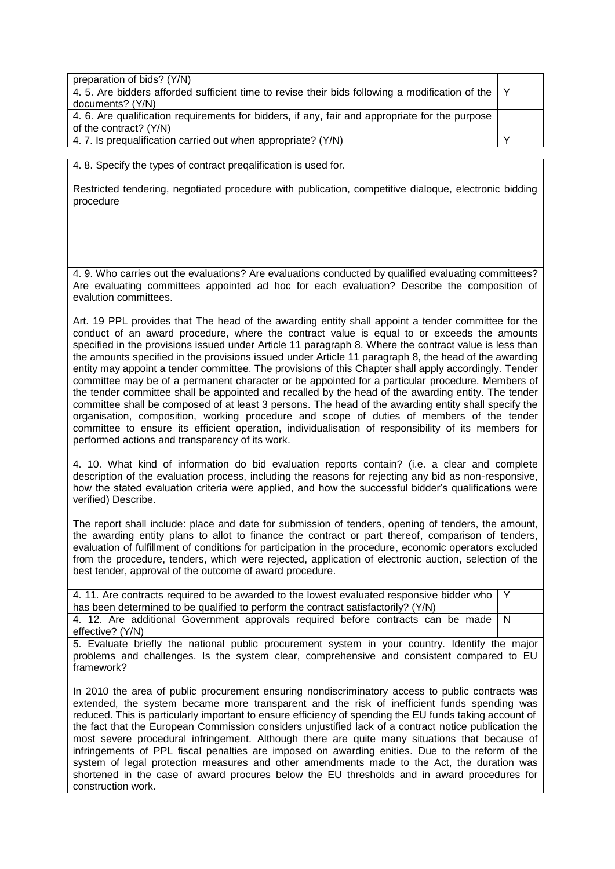| preparation of bids? (Y/N)                                                                         |  |
|----------------------------------------------------------------------------------------------------|--|
| 4.5. Are bidders afforded sufficient time to revise their bids following a modification of the   Y |  |
| documents? (Y/N)                                                                                   |  |
| 4. 6. Are qualification requirements for bidders, if any, fair and appropriate for the purpose     |  |
| of the contract? (Y/N)                                                                             |  |
| 4.7. Is prequalification carried out when appropriate? (Y/N)                                       |  |

4. 8. Specify the types of contract preqalification is used for.

Restricted tendering, negotiated procedure with publication, competitive dialoque, electronic bidding procedure

4. 9. Who carries out the evaluations? Are evaluations conducted by qualified evaluating committees? Are evaluating committees appointed ad hoc for each evaluation? Describe the composition of evalution committees.

Art. 19 PPL provides that The head of the awarding entity shall appoint a tender committee for the conduct of an award procedure, where the contract value is equal to or exceeds the amounts specified in the provisions issued under Article 11 paragraph 8. Where the contract value is less than the amounts specified in the provisions issued under Article 11 paragraph 8, the head of the awarding entity may appoint a tender committee. The provisions of this Chapter shall apply accordingly. Tender committee may be of a permanent character or be appointed for a particular procedure. Members of the tender committee shall be appointed and recalled by the head of the awarding entity. The tender committee shall be composed of at least 3 persons. The head of the awarding entity shall specify the organisation, composition, working procedure and scope of duties of members of the tender committee to ensure its efficient operation, individualisation of responsibility of its members for performed actions and transparency of its work.

4. 10. What kind of information do bid evaluation reports contain? (i.e. a clear and complete description of the evaluation process, including the reasons for rejecting any bid as non-responsive, how the stated evaluation criteria were applied, and how the successful bidder's qualifications were verified) Describe.

The report shall include: place and date for submission of tenders, opening of tenders, the amount, the awarding entity plans to allot to finance the contract or part thereof, comparison of tenders, evaluation of fulfillment of conditions for participation in the procedure, economic operators excluded from the procedure, tenders, which were rejected, application of electronic auction, selection of the best tender, approval of the outcome of award procedure.

4. 11. Are contracts required to be awarded to the lowest evaluated responsive bidder who has been determined to be qualified to perform the contract satisfactorily? (Y/N) Y 4. 12. Are additional Government approvals required before contracts can be made effective? (Y/N) N

5. Evaluate briefly the national public procurement system in your country. Identify the major problems and challenges. Is the system clear, comprehensive and consistent compared to EU framework?

In 2010 the area of public procurement ensuring nondiscriminatory access to public contracts was extended, the system became more transparent and the risk of inefficient funds spending was reduced. This is particularly important to ensure efficiency of spending the EU funds taking account of the fact that the European Commission considers unjustified lack of a contract notice publication the most severe procedural infringement. Although there are quite many situations that because of infringements of PPL fiscal penalties are imposed on awarding enities. Due to the reform of the system of legal protection measures and other amendments made to the Act, the duration was shortened in the case of award procures below the EU thresholds and in award procedures for construction work.